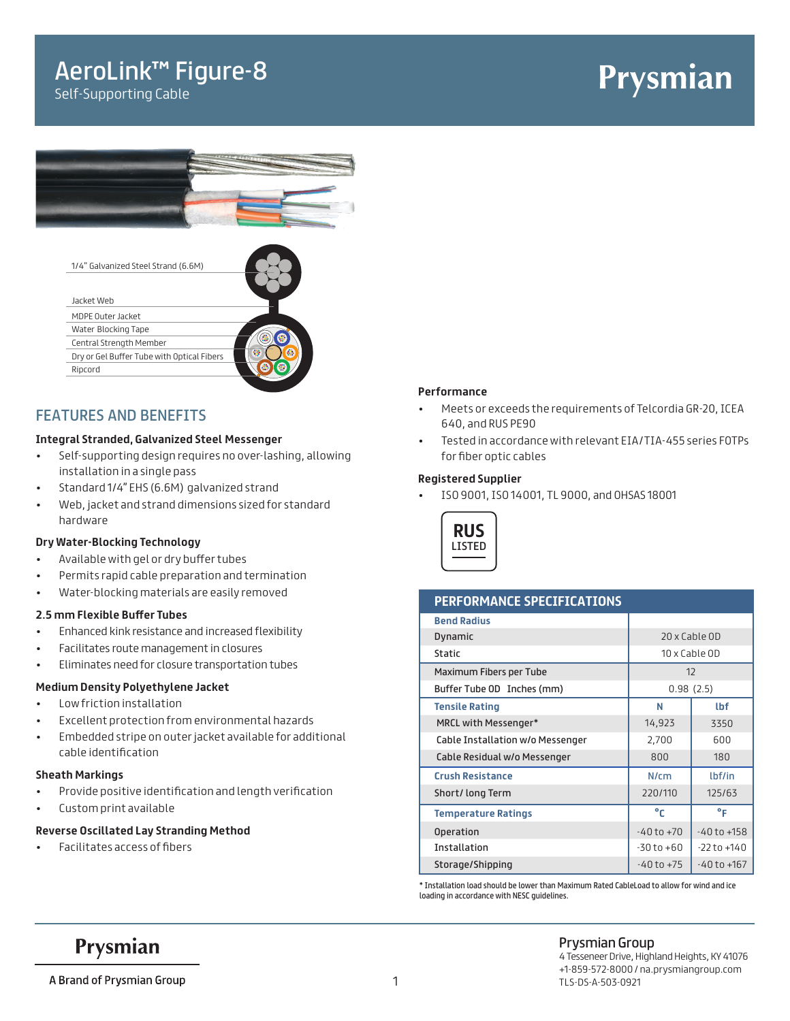# AeroLink™ Figure-8

Self-Supporting Cable

# Prysmian



| 1/4" Galvanized Steel Strand (6.6M)        |   |
|--------------------------------------------|---|
|                                            |   |
| Jacket Web                                 |   |
| MDPE Outer Jacket                          |   |
| Water Blocking Tape                        |   |
| Central Strength Member                    |   |
| Dry or Gel Buffer Tube with Optical Fibers | ÷ |
| Ripcord                                    |   |
|                                            |   |

### FEATURES AND BENEFITS

#### **Integral Stranded, Galvanized Steel Messenger**

- Self-supporting design requires no over-lashing, allowing installation in a single pass
- Standard 1/4" EHS (6.6M) galvanized strand
- Web, jacket and strand dimensions sized for standard hardware

#### **Dry Water-Blocking Technology**

- Available with gel or dry buffer tubes
- Permits rapid cable preparation and termination
- Water-blocking materials are easily removed

#### **2.5 mm Flexible Buffer Tubes**

- Enhanced kink resistance and increased flexibility
- Facilitates route management in closures
- Eliminates need for closure transportation tubes

#### **Medium Density Polyethylene Jacket**

- Low friction installation
- Excellent protection from environmental hazards
- Embedded stripe on outer jacket available for additional cable identification

#### **Sheath Markings**

- Provide positive identification and length verification
- Custom print available

#### **Reverse Oscillated Lay Stranding Method**

• Facilitates access of fibers

#### **Performance**

- Meets or exceeds the requirements of Telcordia GR-20, ICEA 640, and RUS PE90
- Tested in accordance with relevant EIA/TIA-455 series FOTPs for fiber optic cables

#### **Registered Supplier**

• ISO 9001, ISO 14001, TL 9000, and OHSAS 18001



#### **PERFORMANCE SPECIFICATIONS**

| <b>Bend Radius</b>               |                |                 |  |
|----------------------------------|----------------|-----------------|--|
| Dynamic                          |                | 20 x Cable OD   |  |
| <b>Static</b>                    | 10 x Cable OD  |                 |  |
| Maximum Fibers per Tube          |                | 12              |  |
| Buffer Tube OD Inches (mm)       | 0.98(2.5)      |                 |  |
| <b>Tensile Rating</b>            | N              | <b>Lbf</b>      |  |
| MRCL with Messenger*             | 14,923         | 3350            |  |
| Cable Installation w/o Messenger | 2,700          | 600             |  |
| Cable Residual w/o Messenger     | 800            | 180             |  |
| <b>Crush Resistance</b>          | N/cm           | lbf/in          |  |
| Short/ long Term                 | 220/110        | 125/63          |  |
| <b>Temperature Ratings</b>       | °c             | ۰F              |  |
| <b>Operation</b>                 | $-40$ to $+70$ | $-40$ to $+158$ |  |
| <b>Installation</b>              | $-30$ to $+60$ | $-22$ to $+140$ |  |
| Storage/Shipping                 | $-40$ to $+75$ | $-40$ to $+167$ |  |

\* Installation load should be lower than Maximum Rated CableLoad to allow for wind and ice loading in accordance with NESC guidelines.

Prysmian

### Prysmian Group

A Brand of Prysmian Group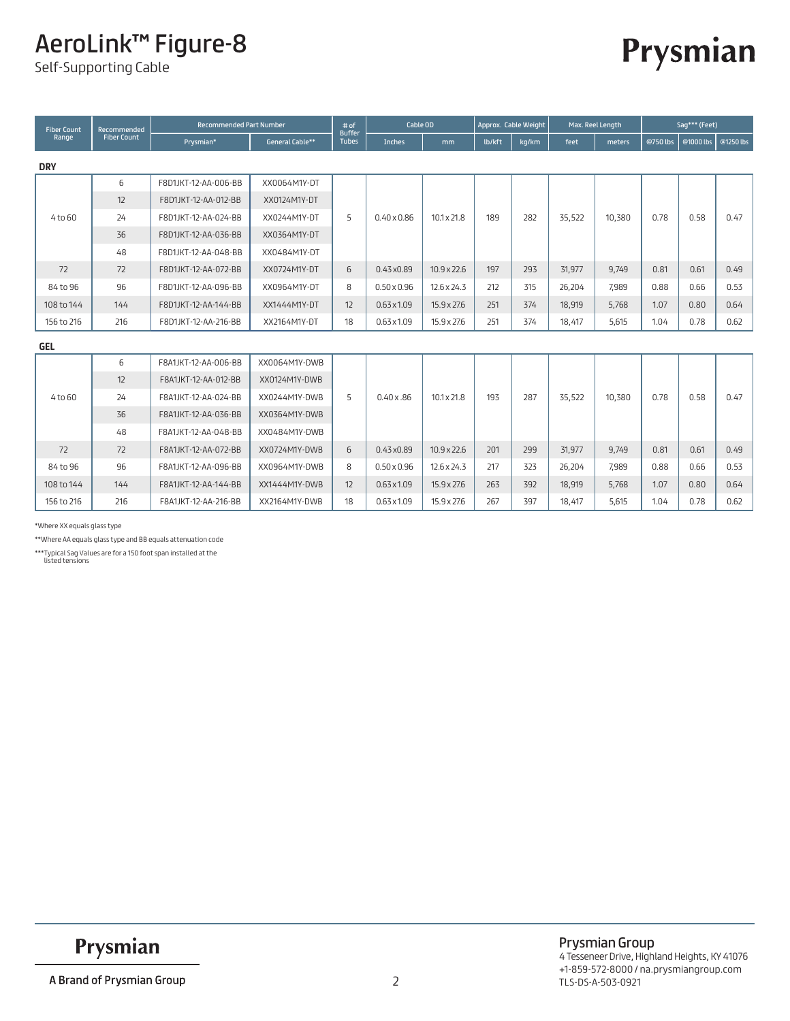# AeroLink™ Figure-8

Self-Supporting Cable

# Prysmian

| <b>Fiber Count</b> | Recommended        | <b>Recommended Part Number</b> |                        | # of<br><b>Buffer</b> | Cable OD           |                    |        | Approx. Cable Weight |        | Max. Reel Length |          | Sag*** (Feet) |           |
|--------------------|--------------------|--------------------------------|------------------------|-----------------------|--------------------|--------------------|--------|----------------------|--------|------------------|----------|---------------|-----------|
| Range              | <b>Fiber Count</b> | Prysmian*                      | <b>General Cable**</b> | <b>Tubes</b>          | Inches             | mm                 | lb/kft | kg/km                | feet   | meters           | @750 lbs | @1000 lbs     | @1250 lbs |
| <b>DRY</b>         |                    |                                |                        |                       |                    |                    |        |                      |        |                  |          |               |           |
|                    | 6                  | F8D1JKT-12-AA-006-BB           | XX0064M1Y-DT           |                       |                    |                    |        |                      |        |                  |          |               |           |
|                    | 12                 | F8D1JKT-12-AA-012-BB           | XX0124M1Y-DT           |                       |                    |                    |        |                      |        |                  |          |               |           |
| 4 to 60            | 24                 | F8D1JKT-12-AA-024-BB           | XX0244M1Y-DT           | 5                     | $0.40 \times 0.86$ | $10.1 \times 21.8$ | 189    | 282                  | 35,522 | 10,380           | 0.78     | 0.58          | 0.47      |
|                    | 36                 | F8D1JKT-12-AA-036-BB           | XX0364M1Y-DT           |                       |                    |                    |        |                      |        |                  |          |               |           |
|                    | 48                 | F8D1JKT-12-AA-048-BB           | XX0484M1Y-DT           |                       |                    |                    |        |                      |        |                  |          |               |           |
| 72                 | 72                 | F8D1JKT-12-AA-072-BB           | XX0724M1Y-DT           | 6                     | $0.43 \times 0.89$ | $10.9 \times 22.6$ | 197    | 293                  | 31,977 | 9,749            | 0.81     | 0.61          | 0.49      |
| 84 to 96           | 96                 | F8D1JKT-12-AA-096-BB           | XX0964M1Y-DT           | 8                     | $0.50 \times 0.96$ | $12.6 \times 24.3$ | 212    | 315                  | 26,204 | 7.989            | 0.88     | 0.66          | 0.53      |
| 108 to 144         | 144                | F8D1JKT-12-AA-144-BB           | XX1444M1Y-DT           | 12                    | $0.63 \times 1.09$ | $15.9 \times 27.6$ | 251    | 374                  | 18,919 | 5,768            | 1.07     | 0.80          | 0.64      |
| 156 to 216         | 216                | F8D1JKT-12-AA-216-BB           | XX2164M1Y-DT           | 18                    | $0.63 \times 1.09$ | 15.9 x 27.6        | 251    | 374                  | 18,417 | 5,615            | 1.04     | 0.78          | 0.62      |
| <b>GEL</b>         |                    |                                |                        |                       |                    |                    |        |                      |        |                  |          |               |           |
|                    | 6                  | F8A1JKT-12-AA-006-BB           | XX0064M1Y-DWB          |                       |                    |                    |        |                      |        |                  |          |               |           |
|                    | 12                 | F8A1JKT-12-AA-012-BB           | XX0124M1Y-DWB          |                       |                    |                    |        |                      |        |                  |          |               |           |
| 4 to 60            | 24                 | F8A1JKT-12-AA-024-BB           | XX0244M1Y-DWB          | 5                     | 0.40x.86           | $10.1 \times 21.8$ | 193    | 287                  | 35,522 | 10,380           | 0.78     | 0.58          | 0.47      |
|                    | 36                 | F8A1JKT-12-AA-036-BB           | XX0364M1Y-DWB          |                       |                    |                    |        |                      |        |                  |          |               |           |
|                    | 48                 | F8A1JKT-12-AA-048-BB           | XX0484M1Y-DWB          |                       |                    |                    |        |                      |        |                  |          |               |           |
| 72                 | 72                 | F8A1JKT-12-AA-072-BB           | XX0724M1Y-DWB          | 6                     | $0.43 \times 0.89$ | $10.9 \times 22.6$ | 201    | 299                  | 31,977 | 9,749            | 0.81     | 0.61          | 0.49      |
| 84 to 96           | 96                 | F8A1JKT-12-AA-096-BB           | XX0964M1Y-DWB          | 8                     | $0.50 \times 0.96$ | $12.6 \times 24.3$ | 217    | 323                  | 26,204 | 7,989            | 0.88     | 0.66          | 0.53      |
| 108 to 144         | 144                | F8A1JKT-12-AA-144-BB           | XX1444M1Y-DWB          | 12                    | $0.63 \times 1.09$ | $15.9 \times 27.6$ | 263    | 392                  | 18,919 | 5,768            | 1.07     | 0.80          | 0.64      |
| 156 to 216         | 216                | F8A1JKT-12-AA-216-BB           | XX2164M1Y-DWB          | 18                    | $0.63 \times 1.09$ | 15.9 x 27.6        | 267    | 397                  | 18,417 | 5,615            | 1.04     | 0.78          | 0.62      |

\*Where XX equals glass type

\*\*Where AA equals glass type and BB equals attenuation code

\*\*\*Typical Sag Values are for a 150 foot span installed at the listed tensions

Prysmian

Prysmian Group 4 Tesseneer Drive, Highland Heights, KY 41076 +1-859-572-8000 / na.prysmiangroup.com 2 TLS-DS-A-503-0921